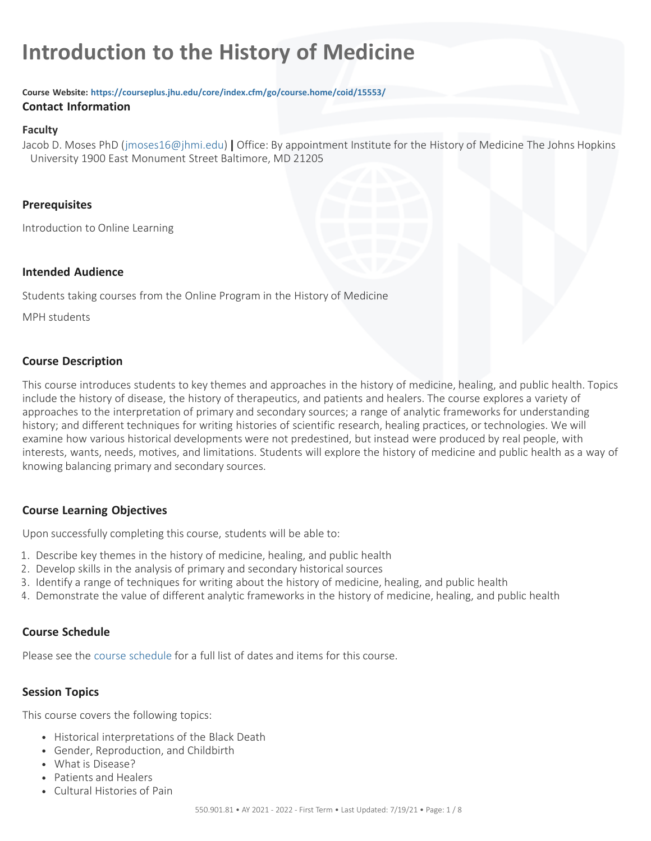# **Introduction to the History of Medicine**

**Course Website: <https://courseplus.jhu.edu/core/index.cfm/go/course.home/coid/15553/> Contact Information**

#### **Faculty**

Jacob D. Moses PhD ([jmoses16@jhmi.edu\)](mailto:mailTo:jmoses16@jhmi.edu) **|** Office: By appointment Institute for the History of Medicine The Johns Hopkins University 1900 East Monument Street Baltimore, MD 21205

# **Prerequisites**

Introduction to Online Learning

# **Intended Audience**

Students taking courses from the Online Program in the History of Medicine

MPH students

# **Course Description**

This course introduces students to key themes and approaches in the history of medicine, healing, and public health. Topics include the history of disease, the history of therapeutics, and patients and healers. The course explores a variety of approaches to the interpretation of primary and secondary sources; a range of analytic frameworks for understanding history; and different techniques for writing histories of scientific research, healing practices, or technologies. We will examine how various historical developments were not predestined, but instead were produced by real people, with interests, wants, needs, motives, and limitations. Students will explore the history of medicine and public health as a way of knowing balancing primary and secondary sources.

# **Course Learning Objectives**

Upon successfully completing this course, students will be able to:

- 1. Describe key themes in the history of medicine, healing, and public health
- 2. Develop skills in the analysis of primary and secondary historical sources
- 3. Identify a range of techniques for writing about the history of medicine, healing, and public health
- 4. Demonstrate the value of different analytic frameworks in the history of medicine, healing, and public health

# **Course Schedule**

Please see the [course schedule](https://courseplus.jhu.edu/core/index.cfm/go/about.schedule/coid/15553) for a full list of dates and items for this course.

# **Session Topics**

This course covers the following topics:

- Historical interpretations of the Black Death
- Gender, Reproduction, and Childbirth
- What is Disease?
- Patients and Healers
- Cultural Histories of Pain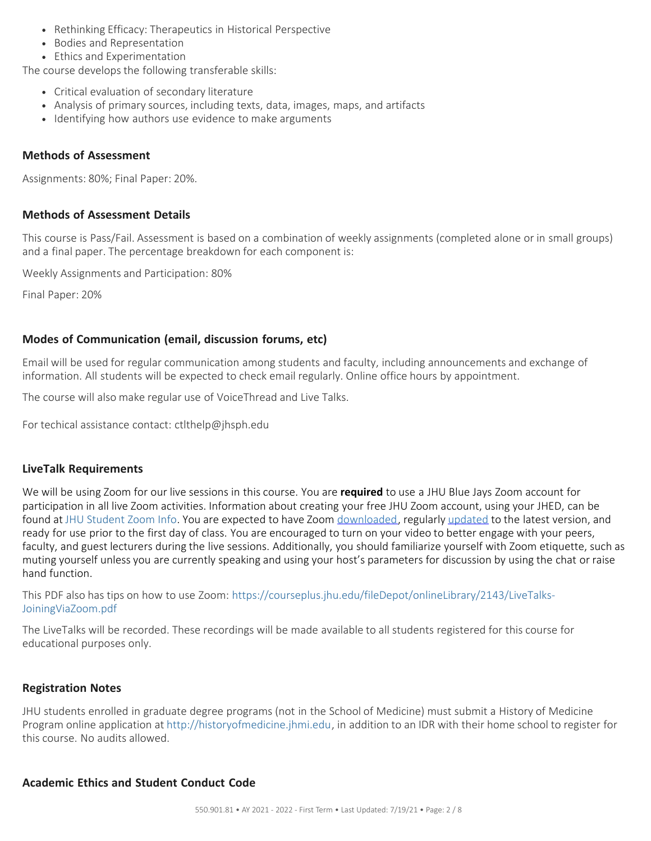- Rethinking Efficacy: Therapeutics in Historical Perspective
- Bodies and Representation
- Ethics and Experimentation

The course develops the following transferable skills:

- Critical evaluation of secondary literature
- Analysis of primary sources, including texts, data, images, maps, and artifacts
- Identifying how authors use evidence to make arguments

# **Methods of Assessment**

Assignments: 80%; Final Paper: 20%.

#### **Methods of Assessment Details**

This course is Pass/Fail. Assessment is based on a combination of weekly assignments (completed alone or in small groups) and a final paper. The percentage breakdown for each component is:

Weekly Assignments and Participation: 80%

Final Paper: 20%

# **Modes of Communication (email, discussion forums, etc)**

Email will be used for regular communication among students and faculty, including announcements and exchange of information. All students will be expected to check email regularly. Online office hours by appointment.

The course will also make regular use of VoiceThread and Live Talks.

For techical assistance contact: ctlthelp@jhsph.edu

#### **LiveTalk Requirements**

We will be using Zoom for our live sessions in this course. You are **required** to use a JHU Blue Jays Zoom account for participation in all live Zoom activities. Information about creating your free JHU Zoom account, using your JHED, can be found at [JHU Student Zoom Info.](https://drive.google.com/file/d/1IY6MaYTDtDOIbvGf6SfI3J0Fub919r7q/view) You are expected to have Zoom [downloaded](https://jhubluejays.zoom.us/download), regularly [updated](https://support.zoom.us/hc/en-us/articles/201362233-Upgrade-update-to-the-latest-version) to the latest version, and ready for use prior to the first day of class. You are encouraged to turn on your video to better engage with your peers, faculty, and guest lecturers during the live sessions. Additionally, you should familiarize yourself with Zoom etiquette, such as muting yourself unless you are currently speaking and using your host's parameters for discussion by using the chat or raise hand function.

This PDF also has tips on how to use Zoom: [https://courseplus.jhu.edu/fileDepot/onlineLibrary/2143/LiveTalks-](https://jhu.edu/fileDepot/onlineLibrary/2143/LiveTalks-JoiningViaZoom.pdf)[JoiningViaZoom.pdf](https://jhu.edu/fileDepot/onlineLibrary/2143/LiveTalks-JoiningViaZoom.pdf)

The LiveTalks will be recorded. These recordings will be made available to all students registered for this course for educational purposes only.

#### **Registration Notes**

JHU students enrolled in graduate degree programs (not in the School of Medicine) must submit a History of Medicine Program online application at [http://historyofmedicine.jhmi.edu](http://historyofmedicine.jhmi.edu/), in addition to an IDR with their home school to register for this course. No audits allowed.

#### **Academic Ethics and Student Conduct Code**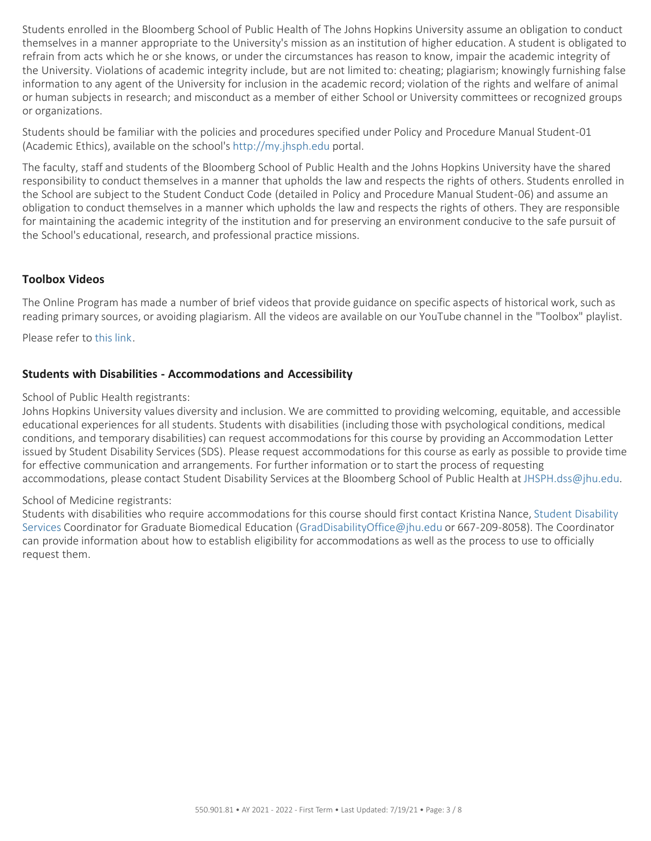Students enrolled in the Bloomberg School of Public Health of The Johns Hopkins University assume an obligation to conduct themselves in a manner appropriate to the University's mission as an institution of higher education. A student is obligated to refrain from acts which he or she knows, or under the circumstances has reason to know, impair the academic integrity of the University. Violations of academic integrity include, but are not limited to: cheating; plagiarism; knowingly furnishing false information to any agent of the University for inclusion in the academic record; violation of the rights and welfare of animal or human subjects in research; and misconduct as a member of either School or University committees or recognized groups or organizations.

Students should be familiar with the policies and procedures specified under Policy and Procedure Manual Student-01 (Academic Ethics), available on the school's [http://my.jhsph.edu](http://my.jhsph.edu/) portal.

The faculty, staff and students of the Bloomberg School of Public Health and the Johns Hopkins University have the shared responsibility to conduct themselves in a manner that upholds the law and respects the rights of others. Students enrolled in the School are subject to the Student Conduct Code (detailed in Policy and Procedure Manual Student-06) and assume an obligation to conduct themselves in a manner which upholds the law and respects the rights of others. They are responsible for maintaining the academic integrity of the institution and for preserving an environment conducive to the safe pursuit of the School's educational, research, and professional practice missions.

# **Toolbox Videos**

The Online Program has made a number of brief videos that provide guidance on specific aspects of historical work, such as reading primary sources, or avoiding plagiarism. All the videos are available on our YouTube channel in the "Toolbox" playlist.

Please refer to [this link](https://youtube.com/playlist?list=PLLdZhn2nm5IQRK6QELUYviD6yEb-LJ7YQ).

# **Students with Disabilities - Accommodations and Accessibility**

#### School of Public Health registrants:

Johns Hopkins University values diversity and inclusion. We are committed to providing welcoming, equitable, and accessible educational experiences for all students. Students with disabilities (including those with psychological conditions, medical conditions, and temporary disabilities) can request accommodations for this course by providing an Accommodation Letter issued by Student Disability Services (SDS). Please request accommodations for this course as early as possible to provide time for effective communication and arrangements. For further information or to start the process of requesting accommodations, please contact Student Disability Services at the Bloomberg School of Public Health at [JHSPH.dss@jhu.edu.](mailto:JHSPH.dss@jhu.edu)

#### School of Medicine registrants:

Students with disabilities who require accommodations for this course should first contact Kristina Nance, [Student Disability](https://www.hopkinsmedicine.org/som/education-programs/graduate-programs/admissions/disability_services.html) [Services](https://www.hopkinsmedicine.org/som/education-programs/graduate-programs/admissions/disability_services.html) Coordinator for Graduate Biomedical Education ([GradDisabilityOffice@jhu.edu](mailto:GradDisabilityOffice@jhu.edu) or 667-209-8058). The Coordinator can provide information about how to establish eligibility for accommodations as well as the process to use to officially request them.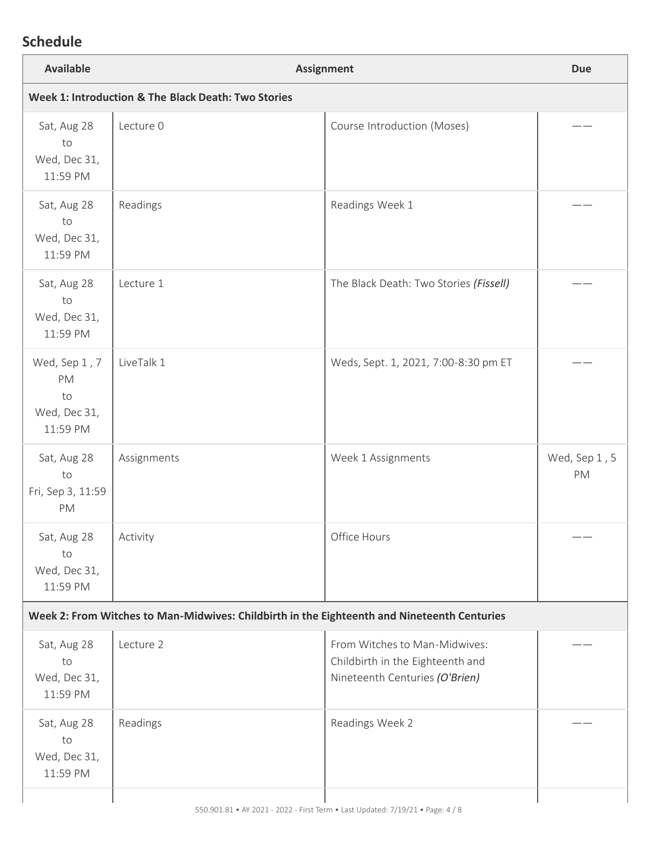# **Schedule**

| <b>Available</b>                                                                            |                                                     | <b>Assignment</b>                                                                                   | <b>Due</b>          |  |
|---------------------------------------------------------------------------------------------|-----------------------------------------------------|-----------------------------------------------------------------------------------------------------|---------------------|--|
|                                                                                             | Week 1: Introduction & The Black Death: Two Stories |                                                                                                     |                     |  |
| Sat, Aug 28<br>to<br>Wed, Dec 31,<br>11:59 PM                                               | Lecture 0                                           | Course Introduction (Moses)                                                                         |                     |  |
| Sat, Aug 28<br>to<br>Wed, Dec 31,<br>11:59 PM                                               | Readings                                            | Readings Week 1                                                                                     |                     |  |
| Sat, Aug 28<br>to<br>Wed, Dec 31,<br>11:59 PM                                               | Lecture 1                                           | The Black Death: Two Stories (Fissell)                                                              |                     |  |
| Wed, Sep 1, 7<br>PM<br>to<br>Wed, Dec 31,<br>11:59 PM                                       | LiveTalk 1                                          | Weds, Sept. 1, 2021, 7:00-8:30 pm ET                                                                |                     |  |
| Sat, Aug 28<br>to<br>Fri, Sep 3, 11:59<br>PM                                                | Assignments                                         | Week 1 Assignments                                                                                  | Wed, Sep 1, 5<br>PM |  |
| Sat, Aug 28<br>to<br>Wed, Dec 31,<br>11:59 PM                                               | Activity                                            | Office Hours                                                                                        |                     |  |
| Week 2: From Witches to Man-Midwives: Childbirth in the Eighteenth and Nineteenth Centuries |                                                     |                                                                                                     |                     |  |
| Sat, Aug 28<br>to<br>Wed, Dec 31,<br>11:59 PM                                               | Lecture 2                                           | From Witches to Man-Midwives:<br>Childbirth in the Eighteenth and<br>Nineteenth Centuries (O'Brien) |                     |  |
| Sat, Aug 28<br>to<br>Wed, Dec 31,<br>11:59 PM                                               | Readings                                            | Readings Week 2                                                                                     |                     |  |
|                                                                                             |                                                     |                                                                                                     |                     |  |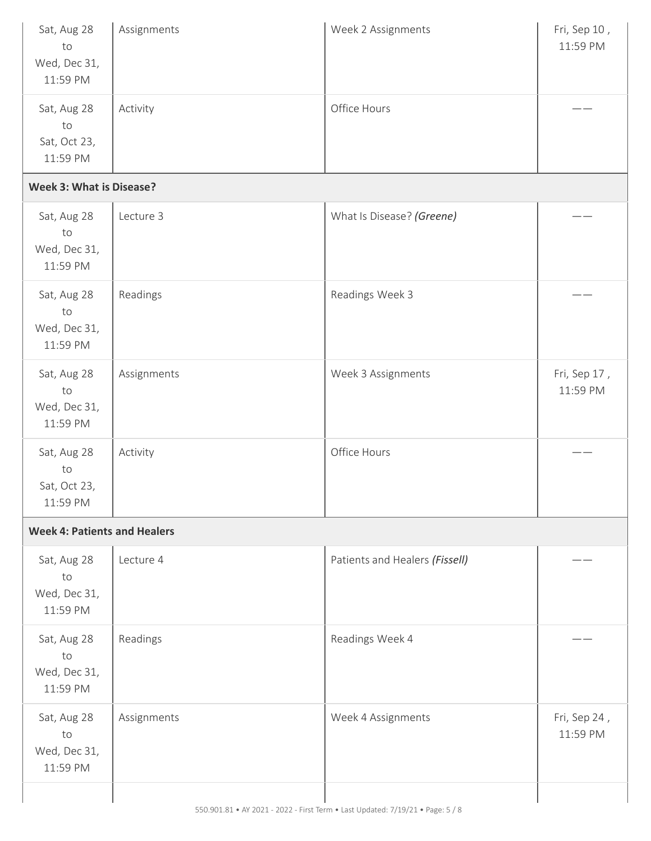| Sat, Aug 28<br>to<br>Wed, Dec 31,<br>11:59 PM | Assignments | Week 2 Assignments             | Fri, Sep 10,<br>11:59 PM |
|-----------------------------------------------|-------------|--------------------------------|--------------------------|
| Sat, Aug 28<br>to<br>Sat, Oct 23,<br>11:59 PM | Activity    | Office Hours                   |                          |
| <b>Week 3: What is Disease?</b>               |             |                                |                          |
| Sat, Aug 28<br>to<br>Wed, Dec 31,<br>11:59 PM | Lecture 3   | What Is Disease? (Greene)      |                          |
| Sat, Aug 28<br>to<br>Wed, Dec 31,<br>11:59 PM | Readings    | Readings Week 3                |                          |
| Sat, Aug 28<br>to<br>Wed, Dec 31,<br>11:59 PM | Assignments | Week 3 Assignments             | Fri, Sep 17,<br>11:59 PM |
| Sat, Aug 28<br>to<br>Sat, Oct 23,<br>11:59 PM | Activity    | Office Hours                   |                          |
| <b>Week 4: Patients and Healers</b>           |             |                                |                          |
| Sat, Aug 28<br>to<br>Wed, Dec 31,<br>11:59 PM | Lecture 4   | Patients and Healers (Fissell) |                          |
| Sat, Aug 28<br>to<br>Wed, Dec 31,<br>11:59 PM | Readings    | Readings Week 4                |                          |
| Sat, Aug 28<br>to<br>Wed, Dec 31,<br>11:59 PM | Assignments | Week 4 Assignments             | Fri, Sep 24,<br>11:59 PM |
|                                               |             |                                |                          |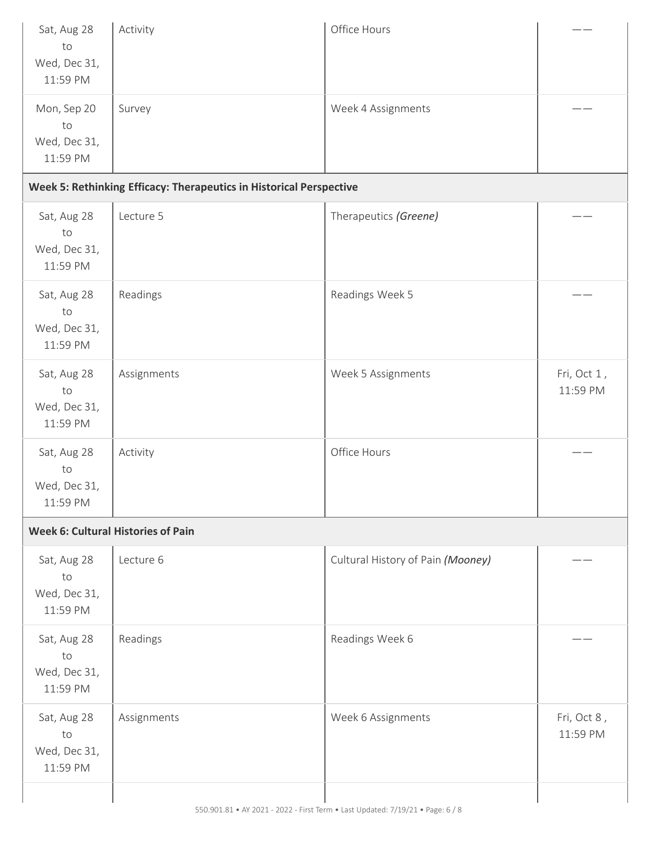| Sat, Aug 28<br>to<br>Wed, Dec 31,<br>11:59 PM | Activity                                                            | Office Hours                      |                         |
|-----------------------------------------------|---------------------------------------------------------------------|-----------------------------------|-------------------------|
| Mon, Sep 20<br>to<br>Wed, Dec 31,<br>11:59 PM | Survey                                                              | Week 4 Assignments                |                         |
|                                               | Week 5: Rethinking Efficacy: Therapeutics in Historical Perspective |                                   |                         |
| Sat, Aug 28<br>to<br>Wed, Dec 31,<br>11:59 PM | Lecture 5                                                           | Therapeutics (Greene)             |                         |
| Sat, Aug 28<br>to<br>Wed, Dec 31,<br>11:59 PM | Readings                                                            | Readings Week 5                   |                         |
| Sat, Aug 28<br>to<br>Wed, Dec 31,<br>11:59 PM | Assignments                                                         | Week 5 Assignments                | Fri, Oct 1,<br>11:59 PM |
| Sat, Aug 28<br>to<br>Wed, Dec 31,<br>11:59 PM | Activity                                                            | Office Hours                      |                         |
|                                               | Week 6: Cultural Histories of Pain                                  |                                   |                         |
| Sat, Aug 28<br>to<br>Wed, Dec 31,<br>11:59 PM | Lecture 6                                                           | Cultural History of Pain (Mooney) |                         |
| Sat, Aug 28<br>to<br>Wed, Dec 31,<br>11:59 PM | Readings                                                            | Readings Week 6                   |                         |
| Sat, Aug 28<br>to<br>Wed, Dec 31,<br>11:59 PM | Assignments                                                         | Week 6 Assignments                | Fri, Oct 8,<br>11:59 PM |
|                                               |                                                                     |                                   |                         |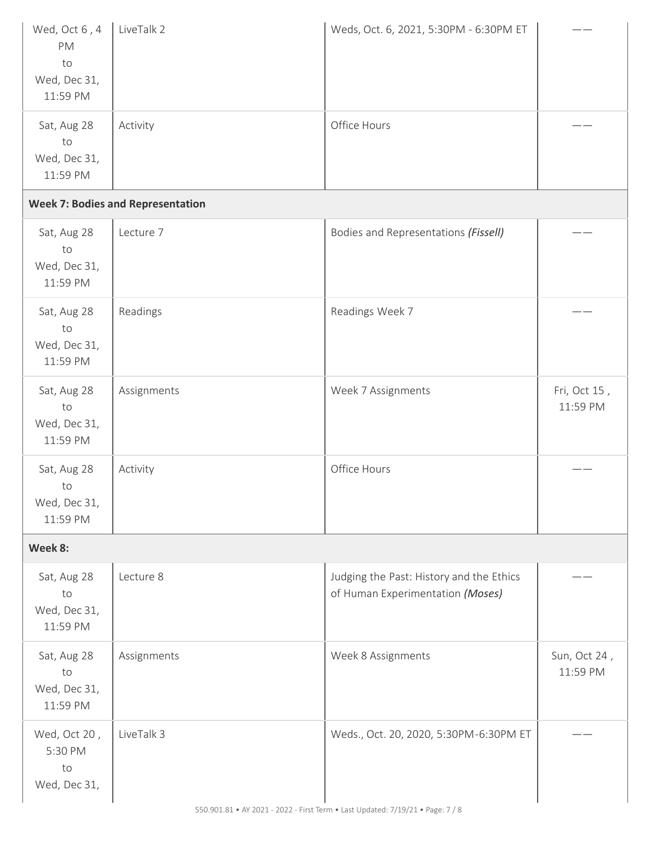| Wed, Oct 6, 4<br>PM<br>to<br>Wed, Dec 31,<br>11:59 PM | LiveTalk 2                               | Weds, Oct. 6, 2021, 5:30PM - 6:30PM ET                                       |                          |
|-------------------------------------------------------|------------------------------------------|------------------------------------------------------------------------------|--------------------------|
| Sat, Aug 28<br>to<br>Wed, Dec 31,<br>11:59 PM         | Activity                                 | Office Hours                                                                 |                          |
|                                                       | <b>Week 7: Bodies and Representation</b> |                                                                              |                          |
| Sat, Aug 28<br>to<br>Wed, Dec 31,<br>11:59 PM         | Lecture 7                                | Bodies and Representations (Fissell)                                         |                          |
| Sat, Aug 28<br>to<br>Wed, Dec 31,<br>11:59 PM         | Readings                                 | Readings Week 7                                                              |                          |
| Sat, Aug 28<br>to<br>Wed, Dec 31,<br>11:59 PM         | Assignments                              | Week 7 Assignments                                                           | Fri, Oct 15,<br>11:59 PM |
| Sat, Aug 28<br>to<br>Wed, Dec 31,<br>11:59 PM         | Activity                                 | Office Hours                                                                 |                          |
| Week 8:                                               |                                          |                                                                              |                          |
| Sat, Aug 28<br>to<br>Wed, Dec 31,<br>11:59 PM         | Lecture 8                                | Judging the Past: History and the Ethics<br>of Human Experimentation (Moses) |                          |
| Sat, Aug 28<br>to<br>Wed, Dec 31,<br>11:59 PM         | Assignments                              | Week 8 Assignments                                                           | Sun, Oct 24,<br>11:59 PM |
| Wed, Oct 20,<br>5:30 PM<br>to<br>Wed, Dec 31,         | LiveTalk 3                               | Weds., Oct. 20, 2020, 5:30PM-6:30PM ET                                       |                          |